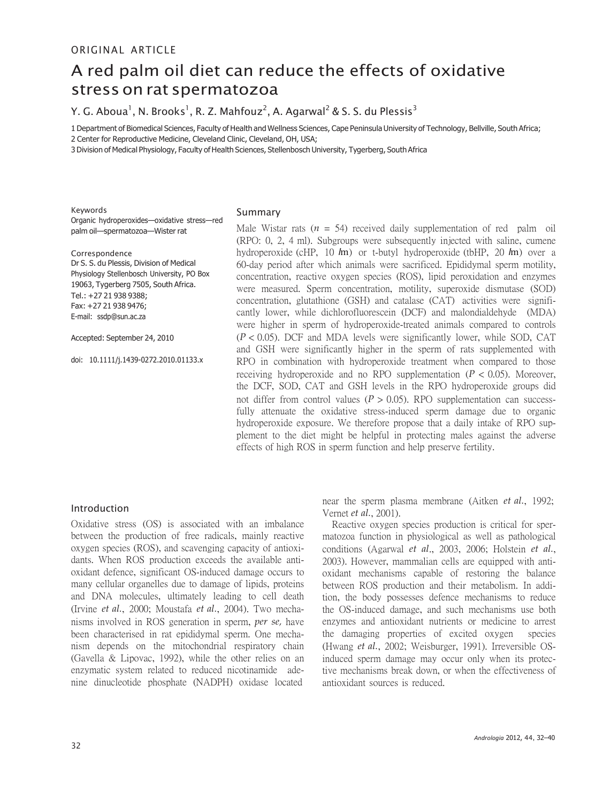# A red palm oil diet can reduce the effects of oxidative stress on rat spermatozoa

Y. G. Aboua $^{\rm l}$ , N. Brooks $^{\rm l}$ , R. Z. Mahfouz $^{\rm 2}$ , A. Agarwal $^{\rm 2}$  & S. S. du Plessis $^{\rm 3}$ 

1 Department of Biomedical Sciences, Faculty of Health and Wellness Sciences, Cape Peninsula University of Technology, Bellville, South Africa; 2 Center for Reproductive Medicine, Cleveland Clinic, Cleveland, OH, USA;

3 Division of Medical Physiology, Faculty of Health Sciences, Stellenbosch University, Tygerberg, South Africa

Keywords Organic hydroperoxides—oxidative stress—red palm oil—spermatozoa—Wister rat

Correspondence Dr S. S. du Plessis, Division of Medical Physiology Stellenbosch University, PO Box 19063, Tygerberg 7505, South Africa. Tel.: +27 21 938 9388; Fax: +27 21 938 9476; E-mail: [ssdp@sun.ac.za](mailto:ssdp@sun.ac.za)

Accepted: September 24, 2010

doi: 10.1111/j.1439-0272.2010.01133.x

#### Summary

Male Wistar rats  $(n = 54)$  received daily supplementation of red palm oil (RPO: 0, 2, 4 ml). Subgroups were subsequently injected with saline, cumene hydroperoxide (cHP, 10 *l*m) or t-butyl hydroperoxide (tbHP, 20 *l*m) over a 60-day period after which animals were sacrificed. Epididymal sperm motility, concentration, reactive oxygen species (ROS), lipid peroxidation and enzymes were measured. Sperm concentration, motility, superoxide dismutase (SOD) concentration, glutathione (GSH) and catalase (CAT) activities were significantly lower, while dichlorofluorescein (DCF) and malondialdehyde (MDA) were higher in sperm of hydroperoxide-treated animals compared to controls  $(P < 0.05)$ . DCF and MDA levels were significantly lower, while SOD, CAT and GSH were significantly higher in the sperm of rats supplemented with RPO in combination with hydroperoxide treatment when compared to those receiving hydroperoxide and no RPO supplementation  $(P < 0.05)$ . Moreover, the DCF, SOD, CAT and GSH levels in the RPO hydroperoxide groups did not differ from control values ( $P > 0.05$ ). RPO supplementation can successfully attenuate the oxidative stress-induced sperm damage due to organic hydroperoxide exposure. We therefore propose that a daily intake of RPO supplement to the diet might be helpful in protecting males against the adverse effects of high ROS in sperm function and help preserve fertility.

# Introduction

Oxidative stress (OS) is associated with an imbalance between the production of free radicals, mainly reactive oxygen species (ROS), and scavenging capacity of antioxidants. When ROS production exceeds the available antioxidant defence, significant OS-induced damage occurs to many cellular organelles due to damage of lipids, proteins and DNA molecules, ultimately leading to cell death (Irvine *et al.*, 2000; Moustafa *et al.*, 2004). Two mechanisms involved in ROS generation in sperm, *per se,* have been characterised in rat epididymal sperm. One mechanism depends on the mitochondrial respiratory chain (Gavella & Lipovac, 1992), while the other relies on an enzymatic system related to reduced nicotinamide adenine dinucleotide phosphate (NADPH) oxidase located

near the sperm plasma membrane (Aitken *et al.*, 1992; Vernet *et al.*, 2001).

Reactive oxygen species production is critical for spermatozoa function in physiological as well as pathological conditions (Agarwal *et al*., 2003, 2006; Holstein *et al.*, 2003). However, mammalian cells are equipped with antioxidant mechanisms capable of restoring the balance between ROS production and their metabolism. In addition, the body possesses defence mechanisms to reduce the OS-induced damage, and such mechanisms use both enzymes and antioxidant nutrients or medicine to arrest the damaging properties of excited oxygen species (Hwang *et al.*, 2002; Weisburger, 1991). Irreversible OSinduced sperm damage may occur only when its protective mechanisms break down, or when the effectiveness of antioxidant sources is reduced.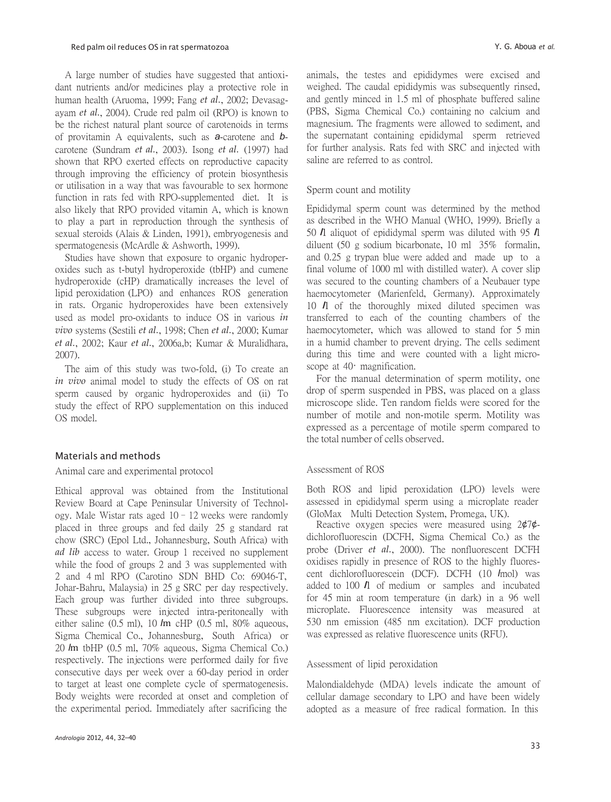A large number of studies have suggested that antioxidant nutrients and/or medicines play a protective role in human health (Aruoma, 1999; Fang *et al.*, 2002; Devasagayam *et al.*, 2004). Crude red palm oil (RPO) is known to be the richest natural plant source of carotenoids in terms of provitamin A equivalents, such as *a*-carotene and *b*carotene (Sundram *et al.*, 2003). Isong *et al.* (1997) had shown that RPO exerted effects on reproductive capacity through improving the efficiency of protein biosynthesis or utilisation in a way that was favourable to sex hormone function in rats fed with RPO-supplemented diet. It is also likely that RPO provided vitamin A, which is known to play a part in reproduction through the synthesis of sexual steroids (Alais & Linden, 1991), embryogenesis and spermatogenesis (McArdle & Ashworth, 1999).

Studies have shown that exposure to organic hydroperoxides such as t-butyl hydroperoxide (tbHP) and cumene hydroperoxide (cHP) dramatically increases the level of lipid peroxidation (LPO) and enhances ROS generation in rats. Organic hydroperoxides have been extensively used as model pro-oxidants to induce OS in various *in vivo* systems (Sestili *et al.*, 1998; Chen *et al.*, 2000; Kumar *et al.*, 2002; Kaur *et al.*, 2006a,b; Kumar & Muralidhara, 2007).

The aim of this study was two-fold, (i) To create an *in vivo* animal model to study the effects of OS on rat sperm caused by organic hydroperoxides and (ii) To study the effect of RPO supplementation on this induced OS model.

## Materials and methods

## Animal care and experimental protocol

Ethical approval was obtained from the Institutional Review Board at Cape Peninsular University of Technology. Male Wistar rats aged 10–12 weeks were randomly placed in three groups and fed daily 25 g standard rat chow (SRC) (Epol Ltd., Johannesburg, South Africa) with *ad lib* access to water. Group 1 received no supplement while the food of groups 2 and 3 was supplemented with 2 and 4 ml RPO (Carotino SDN BHD Co: 69046-T, Johar-Bahru, Malaysia) in 25 g SRC per day respectively. Each group was further divided into three subgroups. These subgroups were injected intra-peritoneally with either saline (0.5 ml), 10 *l*m cHP (0.5 ml, 80% aqueous, Sigma Chemical Co., Johannesburg, South Africa) or 20 *l*m tbHP (0.5 ml, 70% aqueous, Sigma Chemical Co.) respectively. The injections were performed daily for five consecutive days per week over a 60-day period in order to target at least one complete cycle of spermatogenesis. Body weights were recorded at onset and completion of the experimental period. Immediately after sacrificing the

animals, the testes and epididymes were excised and weighed. The caudal epididymis was subsequently rinsed, and gently minced in 1.5 ml of phosphate buffered saline (PBS, Sigma Chemical Co.) containing no calcium and magnesium. The fragments were allowed to sediment, and the supernatant containing epididymal sperm retrieved for further analysis. Rats fed with SRC and injected with saline are referred to as control.

# Sperm count and motility

Epididymal sperm count was determined by the method as described in the WHO Manual (WHO, 1999). Briefly a <sup>50</sup> *l*l aliquot of epididymal sperm was diluted with 95 *l*l diluent (50 g sodium bicarbonate, 10 ml 35% formalin, and 0.25 g trypan blue were added and made up to a final volume of 1000 ml with distilled water). A cover slip was secured to the counting chambers of a Neubauer type haemocytometer (Marienfeld, Germany). Approximately <sup>10</sup> *l*l of the thoroughly mixed diluted specimen was transferred to each of the counting chambers of the haemocytometer, which was allowed to stand for 5 min in a humid chamber to prevent drying. The cells sediment during this time and were counted with a light microscope at 40· magnification.

For the manual determination of sperm motility, one drop of sperm suspended in PBS, was placed on a glass microscope slide. Ten random fields were scored for the number of motile and non-motile sperm. Motility was expressed as a percentage of motile sperm compared to the total number of cells observed.

## Assessment of ROS

Both ROS and lipid peroxidation (LPO) levels were assessed in epididymal sperm using a microplate reader (GloMax Multi Detection System, Promega, UK).

Reactive oxygen species were measured using 2¢7¢ dichlorofluorescin (DCFH, Sigma Chemical Co.) as the probe (Driver *et al.*, 2000). The nonfluorescent DCFH oxidises rapidly in presence of ROS to the highly fluorescent dichlorofluorescein (DCF). DCFH (10 *l*mol) was added to <sup>100</sup> *l*l of medium or samples and incubated for 45 min at room temperature (in dark) in a 96 well microplate. Fluorescence intensity was measured at 530 nm emission (485 nm excitation). DCF production was expressed as relative fluorescence units (RFU).

## Assessment of lipid peroxidation

Malondialdehyde (MDA) levels indicate the amount of cellular damage secondary to LPO and have been widely adopted as a measure of free radical formation. In this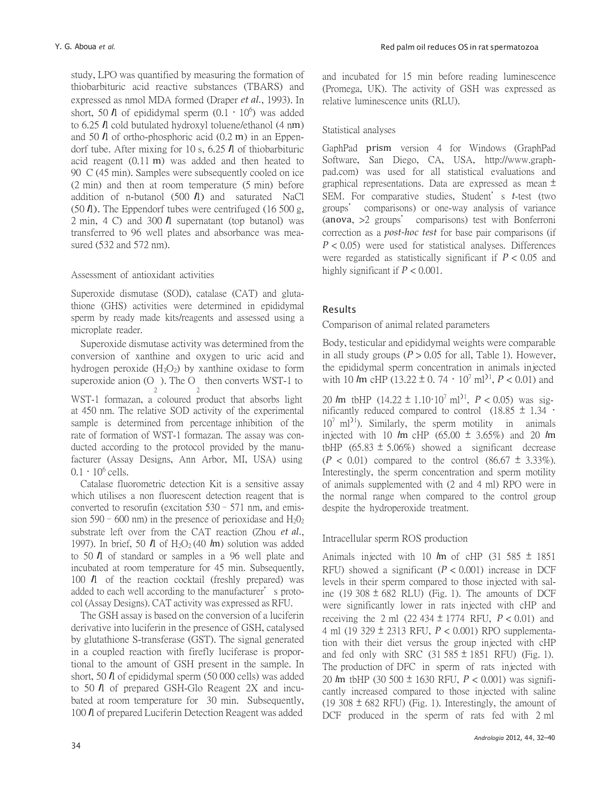study, LPO was quantified by measuring the formation of thiobarbituric acid reactive substances (TBARS) and expressed as nmol MDA formed (Draper *et al.*, 1993). In short, 50  $\hbar$  of epididymal sperm  $(0.1 \cdot 10^6)$  was added to 6.25 *l*l cold butulated hydroxyl toluene/ethanol (4 nm) and 50 *l*l of ortho-phosphoric acid (0.2 m) in an Eppendorf tube. After mixing for 10 s, 6.25 *l*l of thiobarbituric acid reagent (0.11 m) was added and then heated to 90 C (45 min). Samples were subsequently cooled on ice (2 min) and then at room temperature (5 min) before addition of n-butanol (500 *l*l) and saturated NaCl (50 *l*l). The Eppendorf tubes were centrifuged (16 500 g, 2 min, 4 C) and 300 *l*l supernatant (top butanol) was transferred to 96 well plates and absorbance was measured (532 and 572 nm).

# Assessment of antioxidant activities

Superoxide dismutase (SOD), catalase (CAT) and glutathione (GHS) activities were determined in epididymal sperm by ready made kits/reagents and assessed using a microplate reader.

Superoxide dismutase activity was determined from the conversion of xanthine and oxygen to uric acid and hydrogen peroxide  $(H_2O_2)$  by xanthine oxidase to form superoxide anion (O ). The O then converts WST-1 to 2 2 WST-1 formazan, a coloured product that absorbs light at 450 nm. The relative SOD activity of the experimental sample is determined from percentage inhibition of the rate of formation of WST-1 formazan. The assay was conducted according to the protocol provided by the manufacturer (Assay Designs, Ann Arbor, MI, USA) using  $0.1 \cdot 10^6$  cells.

Catalase fluorometric detection Kit is a sensitive assay which utilises a non fluorescent detection reagent that is converted to resorufin (excitation 530–571 nm, and emission 590 – 600 nm) in the presence of perioxidase and  $H_2O_2$ substrate left over from the CAT reaction (Zhou *et al.*, 1997). In brief, 50  $\hbar$  of H<sub>2</sub>O<sub>2</sub> (40  $\hbar$ m) solution was added to <sup>50</sup> *l*l of standard or samples in a 96 well plate and incubated at room temperature for 45 min. Subsequently, <sup>100</sup> *l*l of the reaction cocktail (freshly prepared) was added to each well according to the manufacturer's protocol (Assay Designs). CAT activity was expressed as RFU.

The GSH assay is based on the conversion of a luciferin derivative into luciferin in the presence of GSH, catalysed by glutathione S-transferase (GST). The signal generated in a coupled reaction with firefly luciferase is proportional to the amount of GSH present in the sample. In short, 50 *l*l of epididymal sperm (50 000 cells) was added to <sup>50</sup>*l*l of prepared GSH-Glo Reagent 2X and incubated at room temperature for 30 min. Subsequently, <sup>100</sup> *l*l of prepared Luciferin Detection Reagent was added and incubated for 15 min before reading luminescence (Promega, UK). The activity of GSH was expressed as relative luminescence units (RLU).

# Statistical analyses

GaphPad prism version 4 for Windows (GraphPad Software, San Diego, CA, USA, http://www.graphpad.com) was used for all statistical evaluations and graphical representations. Data are expressed as mean  $\pm$ SEM. For comparative studies, Student's *t*-test (two groups' comparisons) or one-way analysis of variance (anova, >2 groups' comparisons) test with Bonferroni correction as a *post-hoc test* for base pair comparisons (if *P* < 0.05) were used for statistical analyses. Differences were regarded as statistically significant if *P* < 0.05 and highly significant if *P* < 0.001.

# Results

Comparison of animal related parameters

Body, testicular and epididymal weights were comparable in all study groups  $(P > 0.05$  for all, Table 1). However, the epididymal sperm concentration in animals injected with 10  $\text{Im}$  cHP (13.22  $\pm$  0.74  $\cdot$  10<sup>7</sup> ml<sup>21</sup>, *P* < 0.01) and

20 *l*m tbHP (14.22 ± 1.10·10<sup>7</sup>ml)<sup>1</sup> , *P* < 0.05) was significantly reduced compared to control  $(18.85 \pm 1.34 \cdot$  $10^7$  ml<sup> $>1$ </sup>). Similarly, the sperm motility in animals injected with 10 *l*m cHP (65.00 ± 3.65%) and 20 *l*m tbHP (65.83  $\pm$  5.06%) showed a significant decrease  $(P < 0.01)$  compared to the control  $(86.67 \pm 3.33\%)$ . Interestingly, the sperm concentration and sperm motility of animals supplemented with (2 and 4 ml) RPO were in the normal range when compared to the control group despite the hydroperoxide treatment.

# Intracellular sperm ROS production

Animals injected with 10  $\text{Im}$  of cHP (31 585  $\pm$  1851 RFU) showed a significant  $(P < 0.001)$  increase in DCF levels in their sperm compared to those injected with saline (19 308  $\pm$  682 RLU) (Fig. 1). The amounts of DCF were significantly lower in rats injected with cHP and receiving the 2 ml  $(22\ 434 \pm 1774 \text{ RFU}, P < 0.01)$  and 4 ml (19 329 ± 2313 RFU, *P* < 0.001) RPO supplementation with their diet versus the group injected with cHP and fed only with SRC  $(31\,585 \pm 1851)$  RFU) (Fig. 1). The production of DFC in sperm of rats injected with 20 *l*m tbHP (30 500 ± 1630 RFU, *P* < 0.001) was significantly increased compared to those injected with saline (19 308  $\pm$  682 RFU) (Fig. 1). Interestingly, the amount of DCF produced in the sperm of rats fed with 2 ml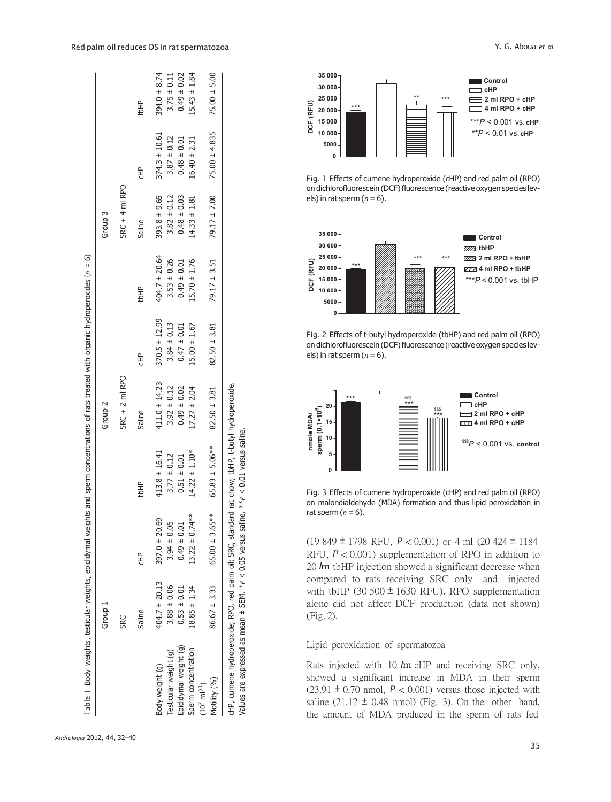|                                                                                                    | Group 1           |                     |                     | Group <sub>2</sub> |                   |                   | Group <sub>3</sub> |                   |                  |
|----------------------------------------------------------------------------------------------------|-------------------|---------------------|---------------------|--------------------|-------------------|-------------------|--------------------|-------------------|------------------|
|                                                                                                    | SRC               |                     |                     | $SRC + 2$ ml RPO   |                   |                   | $SRC + 4$ ml RPO   |                   |                  |
|                                                                                                    | Saline            | ŧ                   | tbHP                | Saline             | 오<br>동            | <b>thHP</b>       | Saline             | 웋                 | tbHP             |
| Body weight (g)                                                                                    | $404.7 \pm 20.13$ | $397.0 \pm 20.69$   | $413.8 \pm 16.41$   | $411.0 \pm 14.23$  | $370.5 \pm 12.99$ | $404.7 \pm 20.64$ | $393.8 + 9.65$     | $374.3 \pm 10.61$ | $394.0 \pm 8.74$ |
| Testicular weight (g)                                                                              | $3.88 \pm 0.06$   | $3.94 \pm 0.06$     | $3.77 \pm 0.12$     | $3.92 \pm 0.12$    | $3.84 \pm 0.13$   | $3.53 \pm 0.26$   | $3.82 \pm 0.12$    | $3.87 \pm 0.12$   | $3.75 \pm 0.11$  |
| Epididymal weight (g)                                                                              | $0.53 \pm 0.01$   | $0.49 \pm 0.01$     | $0.51 \pm 0.01$     | $0.49 \pm 0.02$    | $0.47 \pm 0.01$   | $0.49 \pm 0.01$   | $0.48 \pm 0.03$    | $0.48 \pm 0.01$   | $0.49 \pm 0.02$  |
| Sperm concentration                                                                                | $8.85 \pm 1.34$   | $13.22 \pm 0.74***$ | $14.22 \pm 1.10*$   | $17.27 \pm 2.04$   | $15.00 \pm 1.67$  | $15.70 \pm 1.76$  | $14.33 \pm 1.81$   | $16.40 \pm 2.31$  | $.5.43 \pm 1.84$ |
| $(10^{7} \text{ ml}^{31})$                                                                         |                   |                     |                     |                    |                   |                   |                    |                   |                  |
| Motility (%)                                                                                       | $86.67 \pm 3.33$  | $65.00 \pm 3.65***$ | $65.83 \pm 5.06***$ | $82.50 \pm 3.81$   | $82.50 \pm 3.81$  | $79.17 \pm 3.51$  | $79.17 \pm 7.00$   | $75.00 \pm 4.835$ | $75.00 \pm 5.00$ |
| cHP, cumene hydroperoxide; RPO, red palm oil; SRC, standard rat chow; tbHP, t-butyl hydroperoxide. |                   |                     |                     |                    |                   |                   |                    |                   |                  |
| Values are expressed as mean $\pm$ SEM. *P < 0.05 versus saline, **P < 0.01 versus saline.         |                   |                     |                     |                    |                   |                   |                    |                   |                  |



*Andrologia* 2012, 44, 32–40

Values are expressed as mean ± SEM. \**P* < 0.05 versus saline, \*\**P* < 0.01 versus saline.



Fig. 1 Effects of cumene hydroperoxide (cHP) and red palm oil (RPO) on dichlorofluorescein (DCF) fluorescence (reactive oxygen species levels) in rat sperm  $(n = 6)$ .



Fig. 2 Effects of t-butyl hydroperoxide (tbHP) and red palm oil (RPO) on dichlorofluorescein (DCF) fluorescence (reactive oxygen species levels) in rat sperm (*n* = 6).



Fig. 3 Effects of cumene hydroperoxide (cHP) and red palm oil (RPO) on malondialdehyde (MDA) formation and thus lipid peroxidation in rat sperm  $(n = 6)$ .

(19 849 ± 1798 RFU, *P* < 0.001) or 4 ml (20 424 ± 1184 RFU, *P* < 0.001) supplementation of RPO in addition to 20 *l*m tbHP injection showed a significant decrease when compared to rats receiving SRC only and injected with tbHP (30 500  $\pm$  1630 RFU). RPO supplementation alone did not affect DCF production (data not shown) (Fig. 2).

# Lipid peroxidation of spermatozoa

Rats injected with 10 *l*m cHP and receiving SRC only, showed a significant increase in MDA in their sperm  $(23.91 \pm 0.70 \text{ nmol}, P < 0.001)$  versus those injected with saline (21.12  $\pm$  0.48 nmol) (Fig. 3). On the other hand, the amount of MDA produced in the sperm of rats fed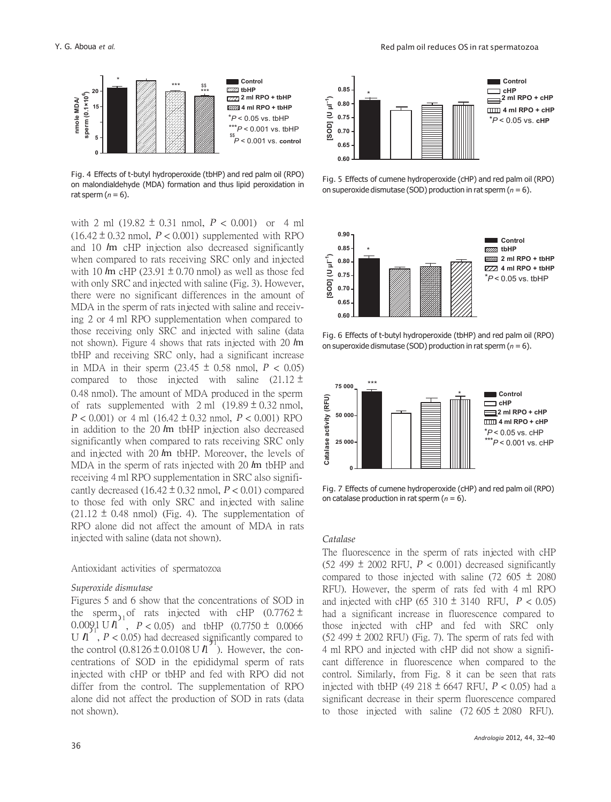

Fig. 4 Effects of t-butyl hydroperoxide (tbHP) and red palm oil (RPO) on malondialdehyde (MDA) formation and thus lipid peroxidation in rat sperm  $(n = 6)$ .

with 2 ml (19.82  $\pm$  0.31 nmol,  $P < 0.001$ ) or 4 ml  $(16.42 \pm 0.32 \text{ nmol}, P < 0.001)$  supplemented with RPO and 10 *l*m cHP injection also decreased significantly when compared to rats receiving SRC only and injected with 10  $\text{Im}$  cHP (23.91  $\pm$  0.70 nmol) as well as those fed with only SRC and injected with saline (Fig. 3). However, there were no significant differences in the amount of MDA in the sperm of rats injected with saline and receiving 2 or 4 ml RPO supplementation when compared to those receiving only SRC and injected with saline (data not shown). Figure 4 shows that rats injected with 20 *l*m tbHP and receiving SRC only, had a significant increase in MDA in their sperm  $(23.45 \pm 0.58 \text{ nmol}, P < 0.05)$ compared to those injected with saline  $(21.12 \pm$ 0.48 nmol). The amount of MDA produced in the sperm of rats supplemented with  $2 \text{ ml}$  (19.89  $\pm$  0.32 nmol,  $P < 0.001$ ) or 4 ml (16.42  $\pm$  0.32 nmol,  $P < 0.001$ ) RPO in addition to the 20 *l*m tbHP injection also decreased significantly when compared to rats receiving SRC only and injected with 20 *l*m tbHP. Moreover, the levels of MDA in the sperm of rats injected with 20 *l*m tbHP and receiving 4 ml RPO supplementation in SRC also significantly decreased  $(16.42 \pm 0.32 \text{ nmol}, P < 0.01)$  compared to those fed with only SRC and injected with saline  $(21.12 \pm 0.48 \text{ nmol})$  (Fig. 4). The supplementation of RPO alone did not affect the amount of MDA in rats injected with saline (data not shown).

#### Antioxidant activities of spermatozoa

#### *Superoxide dismutase*

Figures 5 and 6 show that the concentrations of SOD in the sperm<sub>11</sub> of rats injected with cHP (0.7762  $\pm$ 0.0091 U *l*l )1 U  $\Lambda$ ,  $P < 0.05$ ) had decreased significantly compared to the control  $(0.8126 \pm 0.0108 \text{ U \AA}^2)$ . However, the con- 4 ml RPO and injected with cHP did not show a significentrations of SOD in the epididymal sperm of rats injected with cHP or tbHP and fed with RPO did not differ from the control. The supplementation of RPO alone did not affect the production of SOD in rats (data not shown).



Fig. 5 Effects of cumene hydroperoxide (cHP) and red palm oil (RPO) on superoxide dismutase (SOD) production in rat sperm (*n* = 6).



Fig. 6 Effects of t-butyl hydroperoxide (tbHP) and red palm oil (RPO) on superoxide dismutase (SOD) production in rat sperm (*n* = 6).



Fig. 7 Effects of cumene hydroperoxide (cHP) and red palm oil (RPO) on catalase production in rat sperm (*n* = 6).

#### *Catalase*

The fluorescence in the sperm of rats injected with cHP (52 499  $\pm$  2002 RFU,  $P < 0.001$ ) decreased significantly compared to those injected with saline (72 605  $\pm$  2080) RFU). However, the sperm of rats fed with 4 ml RPO and injected with cHP (65 310  $\pm$  3140 RFU,  $P < 0.05$ ) had a significant increase in fluorescence compared to those injected with cHP and fed with SRC only  $(52 499 \pm 2002$  RFU) (Fig. 7). The sperm of rats fed with cant difference in fluorescence when compared to the control. Similarly, from Fig. 8 it can be seen that rats injected with tbHP (49 218 ± 6647 RFU, *P* < 0.05) had a significant decrease in their sperm fluorescence compared to those injected with saline  $(72\,605 \pm 2080)$  RFU).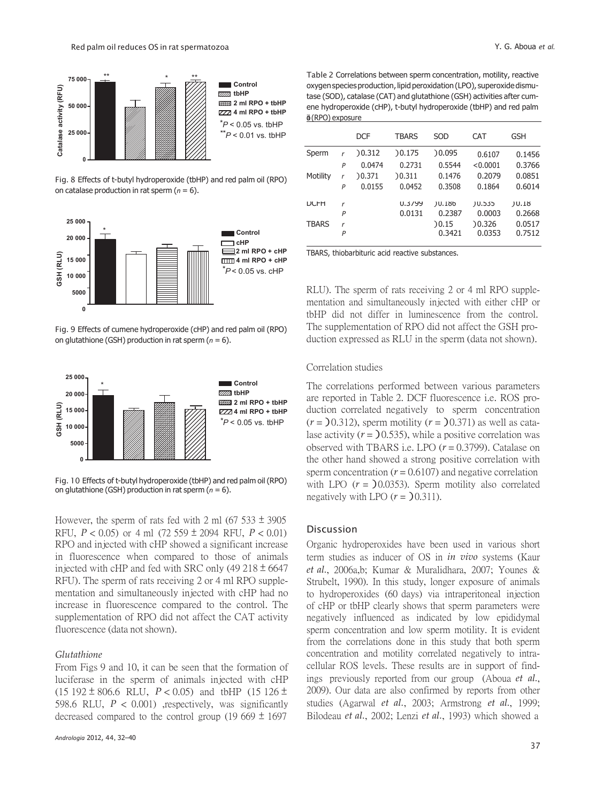

**Control tzzza** tbHP **2 ml RPO + tbHP 4 ml RPO + tbHP** \**P* < 0.05 vs. tbHP  $*$  $P$  < 0.01 vs. tbHP

Fig. 8 Effects of t-butyl hydroperoxide (tbHP) and red palm oil (RPO) on catalase production in rat sperm (*n* = 6).



Fig. 9 Effects of cumene hydroperoxide (cHP) and red palm oil (RPO) on glutathione (GSH) production in rat sperm (*n* = 6).



Fig. 10 Effects of t-butyl hydroperoxide (tbHP) and red palm oil (RPO) on glutathione (GSH) production in rat sperm (*n* = 6).

However, the sperm of rats fed with 2 ml (67 533  $\pm$  3905 RFU, *P* < 0.05) or 4 ml (72 559 ± 2094 RFU, *P* < 0.01) RPO and injected with cHP showed a significant increase in fluorescence when compared to those of animals injected with cHP and fed with SRC only  $(49\ 218 \pm 6647)$ RFU). The sperm of rats receiving 2 or 4 ml RPO supplementation and simultaneously injected with cHP had no increase in fluorescence compared to the control. The supplementation of RPO did not affect the CAT activity fluorescence (data not shown).

#### *Glutathione*

From Figs 9 and 10, it can be seen that the formation of luciferase in the sperm of animals injected with cHP (15 192  $\pm$  806.6 RLU,  $P < 0.05$ ) and tbHP (15 126  $\pm$ 598.6 RLU,  $P < 0.001$ ) ,respectively, was significantly decreased compared to the control group (19 669  $\pm$  1697

Table 2 Correlations between sperm concentration, motility, reactive oxygen species production, lipid peroxidation (LPO), superoxide dismutase (SOD), catalase (CAT) and glutathione (GSH) activities after cumene hydroperoxide (cHP), t-butyl hydroperoxide (tbHP) and red palm  $\phi$ (RPO) exposure

| 0.05 VS. IDHP         |              |   |            |              |            |            |            |
|-----------------------|--------------|---|------------|--------------|------------|------------|------------|
| $: 0.01$ vs. tbHP     |              |   | <b>DCF</b> | <b>TBARS</b> | <b>SOD</b> | <b>CAT</b> | <b>GSH</b> |
|                       | Sperm        | r | )0.312     | )0.175       | 0.095      | 0.6107     | 0.1456     |
|                       |              | P | 0.0474     | 0.2731       | 0.5544     | < 0.0001   | 0.3766     |
| palm oil (RPO)        | Motility     | r | ) 0.371    | )0.311       | 0.1476     | 0.2079     | 0.0851     |
|                       |              | Ρ | 0.0155     | 0.0452       | 0.3508     | 0.1864     | 0.6014     |
|                       | <b>DCFH</b>  | r |            | 0.3799       | ) 0.186    | ) 0.535    | 10.18      |
|                       |              | P |            | 0.0131       | 0.2387     | 0.0003     | 0.2668     |
|                       | <b>TBARS</b> | r |            |              | 0.15       | 0.326      | 0.0517     |
| Control<br><b>CHD</b> |              | P |            |              | 0.3421     | 0.0353     | 0.7512     |
|                       |              |   |            |              |            |            |            |

TBARS, thiobarbituric acid reactive substances.

RLU). The sperm of rats receiving 2 or 4 ml RPO supplementation and simultaneously injected with either cHP or tbHP did not differ in luminescence from the control. The supplementation of RPO did not affect the GSH production expressed as RLU in the sperm (data not shown).

### Correlation studies

The correlations performed between various parameters are reported in Table 2. DCF fluorescence i.e. ROS production correlated negatively to sperm concentration  $(r = 0.312)$ , sperm motility  $(r = 0.371)$  as well as catalase activity  $(r = 0.535)$ , while a positive correlation was observed with TBARS i.e. LPO (*r* = 0.3799). Catalase on the other hand showed a strong positive correlation with sperm concentration  $(r = 0.6107)$  and negative correlation with LPO  $(r = 0.0353)$ . Sperm motility also correlated negatively with LPO  $(r = 0.311)$ .

#### Discussion

Organic hydroperoxides have been used in various short term studies as inducer of OS in *in vivo* systems (Kaur *et al.*, 2006a,b; Kumar & Muralidhara, 2007; Younes & Strubelt, 1990). In this study, longer exposure of animals to hydroperoxides (60 days) via intraperitoneal injection of cHP or tbHP clearly shows that sperm parameters were negatively influenced as indicated by low epididymal sperm concentration and low sperm motility. It is evident from the correlations done in this study that both sperm concentration and motility correlated negatively to intracellular ROS levels. These results are in support of findings previously reported from our group (Aboua *et al.*, 2009). Our data are also confirmed by reports from other studies (Agarwal *et al.*, 2003; Armstrong *et al.*, 1999; Bilodeau *et al.*, 2002; Lenzi *et al.*, 1993) which showed a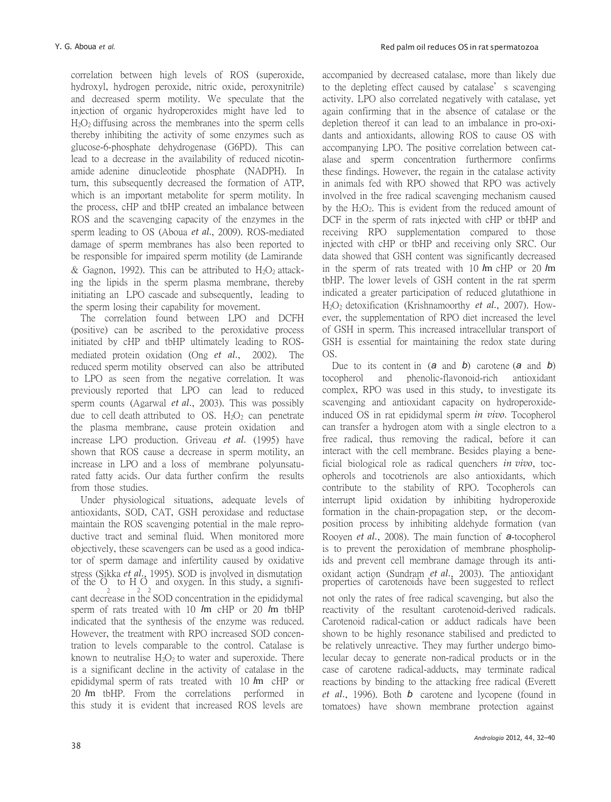correlation between high levels of ROS (superoxide, hydroxyl, hydrogen peroxide, nitric oxide, peroxynitrile) and decreased sperm motility. We speculate that the injection of organic hydroperoxides might have led to  $H<sub>2</sub>O<sub>2</sub>$  diffusing across the membranes into the sperm cells thereby inhibiting the activity of some enzymes such as glucose-6-phosphate dehydrogenase (G6PD). This can lead to a decrease in the availability of reduced nicotinamide adenine dinucleotide phosphate (NADPH). In turn, this subsequently decreased the formation of ATP, which is an important metabolite for sperm motility. In the process, cHP and tbHP created an imbalance between ROS and the scavenging capacity of the enzymes in the sperm leading to OS (Aboua *et al.*, 2009). ROS-mediated damage of sperm membranes has also been reported to be responsible for impaired sperm motility (de Lamirande & Gagnon, 1992). This can be attributed to  $H_2O_2$  attacking the lipids in the sperm plasma membrane, thereby initiating an LPO cascade and subsequently, leading to the sperm losing their capability for movement.

The correlation found between LPO and DCFH (positive) can be ascribed to the peroxidative process initiated by cHP and tbHP ultimately leading to ROSmediated protein oxidation (Ong *et al.*, 2002). The reduced sperm motility observed can also be attributed to LPO as seen from the negative correlation. It was previously reported that LPO can lead to reduced sperm counts (Agarwal *et al.*, 2003). This was possibly due to cell death attributed to OS.  $H_2O_2$  can penetrate the plasma membrane, cause protein oxidation and increase LPO production. Griveau *et al.* (1995) have shown that ROS cause a decrease in sperm motility, an increase in LPO and a loss of membrane polyunsaturated fatty acids. Our data further confirm the results from those studies.

Under physiological situations, adequate levels of antioxidants, SOD, CAT, GSH peroxidase and reductase maintain the ROS scavenging potential in the male reproductive tract and seminal fluid. When monitored more objectively, these scavengers can be used as a good indicator of sperm damage and infertility caused by oxidative stress (Sikka *et al.*, 1995). SOD is involved in dismutation stress (Sikka *et al.*, 1995). SOD is involved in dismutation coxidant action (Sundram *et al.*, 2003). The antioxidant of the O to H O and oxygen. In this study, a signifi- properties of carotenoids have been suggested to 2 2 2 cant decrease in the SOD concentration in the epididymal sperm of rats treated with 10 *l*m cHP or 20 *l*m tbHP indicated that the synthesis of the enzyme was reduced. However, the treatment with RPO increased SOD concentration to levels comparable to the control. Catalase is known to neutralise  $H_2O_2$  to water and superoxide. There is a significant decline in the activity of catalase in the epididymal sperm of rats treated with 10 *l*m cHP or 20 *l*m tbHP. From the correlations performed in this study it is evident that increased ROS levels are

accompanied by decreased catalase, more than likely due to the depleting effect caused by catalase's scavenging activity. LPO also correlated negatively with catalase, yet again confirming that in the absence of catalase or the depletion thereof it can lead to an imbalance in pro-oxidants and antioxidants, allowing ROS to cause OS with accompanying LPO. The positive correlation between catalase and sperm concentration furthermore confirms these findings. However, the regain in the catalase activity in animals fed with RPO showed that RPO was actively involved in the free radical scavenging mechanism caused by the  $H_2O_2$ . This is evident from the reduced amount of DCF in the sperm of rats injected with cHP or tbHP and receiving RPO supplementation compared to those injected with cHP or tbHP and receiving only SRC. Our data showed that GSH content was significantly decreased in the sperm of rats treated with 10 *l*m cHP or 20 *l*m tbHP. The lower levels of GSH content in the rat sperm indicated a greater participation of reduced glutathione in H2O2 detoxification (Krishnamoorthy *et al.*, 2007). However, the supplementation of RPO diet increased the level of GSH in sperm. This increased intracellular transport of GSH is essential for maintaining the redox state during OS.

Due to its content in (*a* and *b*) carotene (*a* and *b*) tocopherol and phenolic-flavonoid-rich antioxidant complex, RPO was used in this study, to investigate its scavenging and antioxidant capacity on hydroperoxideinduced OS in rat epididymal sperm *in vivo.* Tocopherol can transfer a hydrogen atom with a single electron to a free radical, thus removing the radical, before it can interact with the cell membrane. Besides playing a beneficial biological role as radical quenchers *in vivo*, tocopherols and tocotrienols are also antioxidants, which contribute to the stability of RPO. Tocopherols can interrupt lipid oxidation by inhibiting hydroperoxide formation in the chain-propagation step, or the decomposition process by inhibiting aldehyde formation (van Rooyen *et al.*, 2008). The main function of *a*-tocopherol is to prevent the peroxidation of membrane phospholipids and prevent cell membrane damage through its anti-

not only the rates of free radical scavenging, but also the reactivity of the resultant carotenoid-derived radicals. Carotenoid radical-cation or adduct radicals have been shown to be highly resonance stabilised and predicted to be relatively unreactive. They may further undergo bimolecular decay to generate non-radical products or in the case of carotene radical-adducts, may terminate radical reactions by binding to the attacking free radical (Everett *et al.*, 1996). Both *b* carotene and lycopene (found in tomatoes) have shown membrane protection against